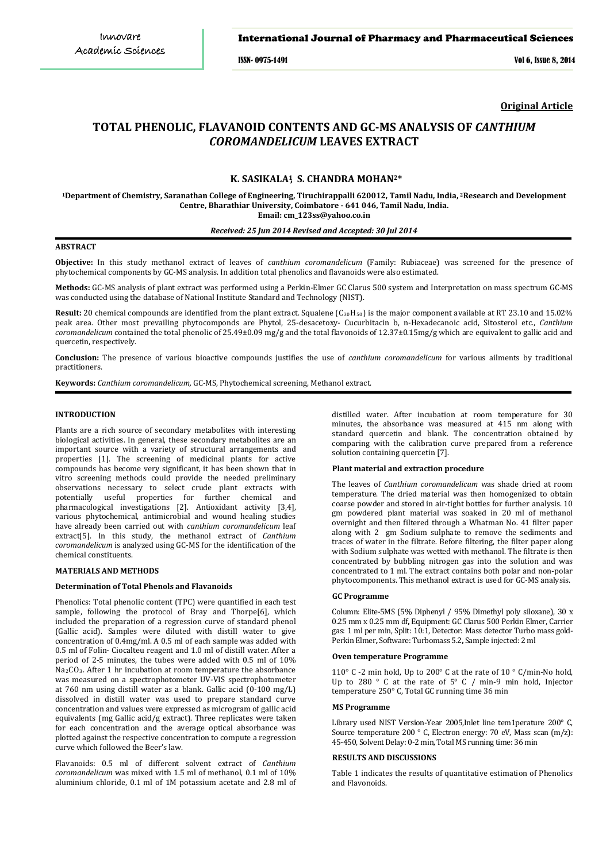## International Journal of Pharmacy and Pharmaceutical Sciences

ISSN- 0975-1491 Vol 6, Issue 8, 2014

**Original Article**

# **TOTAL PHENOLIC, FLAVANOID CONTENTS AND GC-MS ANALYSIS OF** *CANTHIUM COROMANDELICUM* **LEAVES EXTRACT**

## **K. SASIKALA<sup>1</sup> S. CHANDRA MOHAN<sup>2</sup> , \***

**Research and Development <sup>1</sup>Department of Chemistry, Saranathan College of Engineering, Tiruchirappalli 620012, Tamil Nadu, India, <sup>2</sup> Centre, Bharathiar University, Coimbatore - 641 046, Tamil Nadu, India. Email: cm\_123ss@yahoo.co.in**

## *Received: 25 Jun 2014 Revised and Accepted: 30 Jul 2014*

## **ABSTRACT**

**Objective:** In this study methanol extract of leaves of *canthium coromandelicum* (Family: Rubiaceae) was screened for the presence of phytochemical components by GC-MS analysis. In addition total phenolics and flavanoids were also estimated.

**Methods:** GC-MS analysis of plant extract was performed using a Perkin-Elmer GC Clarus 500 system and Interpretation on mass spectrum GC-MS was conducted using the database of National Institute Standard and Technology (NIST).

Result: 20 chemical compounds are identified from the plant extract. Squalene (C<sub>30</sub>H<sub>50</sub>) is the major component available at RT 23.10 and 15.02% peak area. Other most prevailing phytocomponds are Phytol, 25-desacetoxy- Cucurbitacin b, n-Hexadecanoic acid, Sitosterol etc., *Canthium coromandelicum* contained the total phenolic of 25.49±0.09 mg/g and the total flavonoids of 12.37±0.15mg/g which are equivalent to gallic acid and quercetin, respectively.

**Conclusion:** The presence of various bioactive compounds justifies the use of *canthium coromandelicum* for various ailments by traditional practitioners.

**Keywords:** *Canthium coromandelicum,* GC-MS, Phytochemical screening, Methanol extract.

#### **INTRODUCTION**

Plants are a rich source of secondary metabolites with interesting biological activities. In general, these secondary metabolites are an important source with a variety of structural arrangements and properties [1]. The screening of medicinal plants for active compounds has become very significant, it has been shown that in vitro screening methods could provide the needed preliminary observations necessary to select crude plant extracts with potentially useful properties for further chemical and pharmacological investigations [2]. Antioxidant activity [3,4], various phytochemical, antimicrobial and wound healing studies have already been carried out with *canthium coromandelicum* leaf extract[5]. In this study, the methanol extract of *Canthium coromandelicum* is analyzed using GC-MS for the identification of the chemical constituents.

#### **MATERIALS AND METHODS**

## **Determination of Total Phenols and Flavanoids**

Phenolics: Total phenolic content (TPC) were quantified in each test sample, following the protocol of Bray and Thorpe[6], which included the preparation of a regression curve of standard phenol (Gallic acid). Samples were diluted with distill water to give concentration of 0.4mg/ml. A 0.5 ml of each sample was added with 0.5 ml of Folin- Ciocalteu reagent and 1.0 ml of distill water. After a period of 2-5 minutes, the tubes were added with 0.5 ml of 10% Na2CO3 . After 1 hr incubation at room temperature the absorbance was measured on a spectrophotometer UV-VIS spectrophotometer at 760 nm using distill water as a blank. Gallic acid (0-100 mg/L) dissolved in distill water was used to prepare standard curve concentration and values were expressed as microgram of gallic acid equivalents (mg Gallic acid/g extract). Three replicates were taken for each concentration and the average optical absorbance was plotted against the respective concentration to compute a regression curve which followed the Beer's law.

Flavanoids: 0.5 ml of different solvent extract of *Canthium coromandelicum* was mixed with 1.5 ml of methanol, 0.1 ml of 10% aluminium chloride, 0.1 ml of 1M potassium acetate and 2.8 ml of distilled water. After incubation at room temperature for 30 minutes, the absorbance was measured at 415 nm along with standard quercetin and blank. The concentration obtained by comparing with the calibration curve prepared from a reference solution containing quercetin [7].

## **Plant material and extraction procedure**

The leaves of *Canthium coromandelicum* was shade dried at room temperature. The dried material was then homogenized to obtain coarse powder and stored in air-tight bottles for further analysis. 10 gm powdered plant material was soaked in 20 ml of methanol overnight and then filtered through a Whatman No. 41 filter paper along with 2 gm Sodium sulphate to remove the sediments and traces of water in the filtrate. Before filtering, the filter paper along with Sodium sulphate was wetted with methanol. The filtrate is then concentrated by bubbling nitrogen gas into the solution and was concentrated to 1 ml. The extract contains both polar and non-polar phytocomponents. This methanol extract is used for GC-MS analysis.

#### **GC Programme**

Column: Elite-5MS (5% Diphenyl / 95% Dimethyl poly siloxane), 30 x 0.25 mm x 0.25 mm df**,** Equipment: GC Clarus 500 Perkin Elmer, Carrier gas: 1 ml per min, Split: 10:1, Detector: Mass detector Turbo mass gold-Perkin Elmer**,** Software: Turbomass 5.2**,** Sample injected: 2 ml

#### **Oven temperature Programme**

110° C -2 min hold, Up to 200° C at the rate of 10 ° C/min-No hold, Up to 280 ° C at the rate of 5° C / min-9 min hold, Injector temperature 250° C, Total GC running time 36 min

#### **MS Programme**

Library used NIST Version-Year 2005,Inlet line tem1perature 200° C, Source temperature 200 ° C, Electron energy: 70 eV, Mass scan (m/z): 45-450, Solvent Delay: 0-2 min, Total MS running time: 36 min

### **RESULTS AND DISCUSSIONS**

Table 1 indicates the results of quantitative estimation of Phenolics and Flavonoids.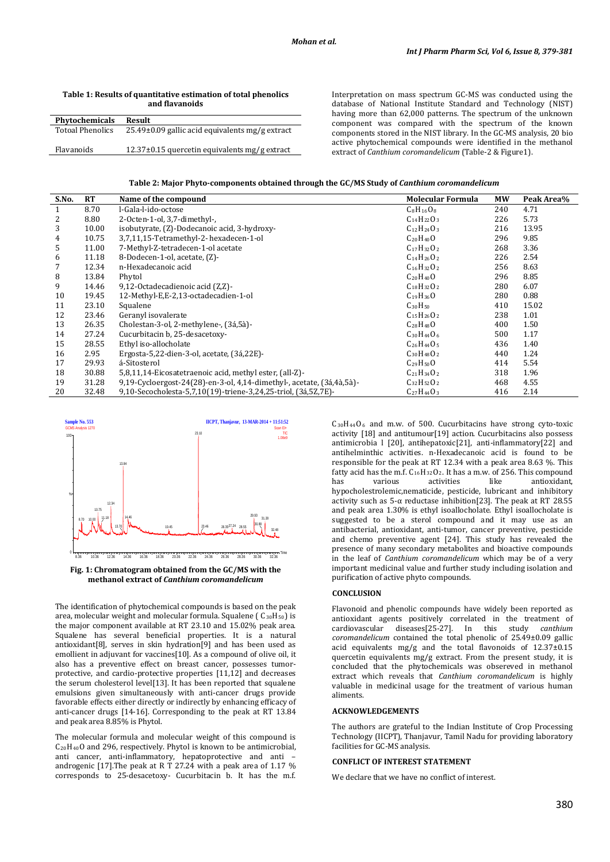| and flavanoids          |                                                     |  |  |  |  |
|-------------------------|-----------------------------------------------------|--|--|--|--|
| <b>Phytochemicals</b>   | Result                                              |  |  |  |  |
| <b>Totoal Phenolics</b> | $25.49\pm0.09$ gallic acid equivalents mg/g extract |  |  |  |  |
| Flavanoids              | $12.37\pm0.15$ quercetin equivalents mg/g extract   |  |  |  |  |

**Table 1: Results of quantitative estimation of total phenolics** 

Interpretation on mass spectrum GC-MS was conducted using the database of National Institute Standard and Technology (NIST) having more than 62,000 patterns. The spectrum of the unknown component was compared with the spectrum of the known components stored in the NIST library. In the GC-MS analysis, 20 bio active phytochemical compounds were identified in the methanol extract of *Canthium coromandelicum* (Table-2 & Figure1).

| Table 2: Major Phyto-components obtained through the GC/MS Study of <i>Canthium coromandelicum</i> |  |  |
|----------------------------------------------------------------------------------------------------|--|--|
|                                                                                                    |  |  |

| S.No.        | <b>RT</b> | Name of the compound                                                  | <b>Molecular Formula</b> | <b>MW</b> | Peak Area% |
|--------------|-----------|-----------------------------------------------------------------------|--------------------------|-----------|------------|
| $\mathbf{1}$ | 8.70      | l-Gala-l-ido-octose                                                   | $C_8H_{16}O_8$           | 240       | 4.71       |
| 2            | 8.80      | 2-Octen-1-ol, 3,7-dimethyl-,                                          | $C_{14}H_{22}O_3$        | 226       | 5.73       |
| 3            | 10.00     | isobutyrate, (Z)-Dodecanoic acid, 3-hydroxy-                          | $C_{12}H_{24}O_3$        | 216       | 13.95      |
| 4            | 10.75     | 3,7,11,15-Tetramethyl-2-hexadecen-1-ol                                | $C_{20}H_{40}O$          | 296       | 9.85       |
|              |           |                                                                       |                          |           |            |
| 5            | 11.00     | 7-Methyl-Z-tetradecen-1-ol acetate                                    | $C_{17}H_{32}O_2$        | 268       | 3.36       |
| 6            | 11.18     | 8-Dodecen-1-ol, acetate, (Z)-                                         | $C_{14}H_{26}O_2$        | 226       | 2.54       |
|              | 12.34     | n-Hexadecanoic acid                                                   | $C_{16}H_{32}O_2$        | 256       | 8.63       |
| 8            | 13.84     | Phytol                                                                | $C_{20}H_{40}O$          | 296       | 8.85       |
| 9            | 14.46     | 9,12-Octadecadienoic acid (Z,Z)-                                      | $C_{18}H_{32}O_2$        | 280       | 6.07       |
| 10           | 19.45     | 12-Methyl-E.E-2.13-octadecadien-1-ol                                  | $C_{19}H_{36}O$          | 280       | 0.88       |
| 11           | 23.10     | Squalene                                                              | $C_{30}H_{50}$           | 410       | 15.02      |
| 12           | 23.46     | Geranyl isovalerate                                                   | $C_{15}H_{26}O_{2}$      | 238       | 1.01       |
| 13           | 26.35     | Cholestan-3-ol, 2-methylene-, (3á,5à)-                                | $C_{28}H_{48}O$          | 400       | 1.50       |
| 14           | 27.24     | Cucurbitacin b, 25-desacetoxy-                                        | $C_{30}H_{44}O_6$        | 500       | 1.17       |
| 15           | 28.55     | Ethyl iso-allocholate                                                 | $C_{26}H_{44}O_5$        | 436       | 1.40       |
| 16           | 2.95      | Ergosta-5,22-dien-3-ol, acetate, (3á,22E)-                            | $C_{30}H_{48}O_2$        | 440       | 1.24       |
| 17           | 29.93     | á-Sitosterol                                                          | $C_{29}H_{50}O$          | 414       | 5.54       |
| 18           | 30.88     | 5,8,11,14-Eicosatetraenoic acid, methyl ester, (all-Z)-               | $C_{21}H_{34}O_2$        | 318       | 1.96       |
| 19           | 31.28     | 9,19-Cycloergost-24(28)-en-3-ol, 4,14-dimethyl-, acetate, (3á,4à,5à)- | $C_{32}H_{52}O_2$        | 468       | 4.55       |
| 20           | 32.48     | 9,10-Secocholesta-5,7,10(19)-triene-3,24,25-triol, (3á,5Z,7E)-        | $C_{27}H_{44}O_3$        | 416       | 2.14       |





The identification of phytochemical compounds is based on the peak area, molecular weight and molecular formula. Squalene ( C30H50 ) is the major component available at RT 23.10 and 15.02% peak area. Squalene has several beneficial properties. It is a natural antioxidant[8], serves in skin hydration[9] and has been used as emollient in adjuvant for vaccines[10]. As a compound of olive oil, it also has a preventive effect on breast cancer, possesses tumorprotective, and cardio-protective properties [11,12] and decreases the serum cholesterol level[13]. It has been reported that squalene emulsions given simultaneously with anti-cancer drugs provide favorable effects either directly or indirectly by enhancing efficacy of anti-cancer drugs [14-16]. Corresponding to the peak at RT 13.84 and peak area 8.85% is Phytol.

The molecular formula and molecular weight of this compound is C 20H40O and 296, respectively. Phytol is known to be antimicrobial, anti cancer, anti-inflammatory, hepatoprotective and anti – androgenic [17].The peak at R T 27.24 with a peak area of 1.17 % corresponds to 25-desacetoxy- Cucurbitacin b. It has the m.f.

 $C_{30}H_{44}O_6$  and m.w. of 500. Cucurbitacins have strong cyto-toxic activity [18] and antitumour[19] action. Cucurbitacins also possess antimicrobia l [20], antihepatoxic[21], anti-inflammatory[22] and antihelminthic activities. n-Hexadecanoic acid is found to be responsible for the peak at RT 12.34 with a peak area 8.63 %. This fatty acid has the m.f. C16H32O2 . It has a m.w. of 256. This compound has various activities like antioxidant, hypocholestrolemic,nematicide, pesticide, lubricant and inhibitory activity such as 5-α reductase inhibition[23]. The peak at RT 28.55 and peak area 1.30% is ethyl isoallocholate. Ethyl isoallocholate is suggested to be a sterol compound and it may use as an antibacterial, antioxidant, anti-tumor, cancer preventive, pesticide and chemo preventive agent [24]. This study has revealed the presence of many secondary metabolites and bioactive compounds in the leaf of *Canthium coromandelicum* which may be of a very important medicinal value and further study including isolation and purification of active phyto compounds.

## **CONCLUSION**

Flavonoid and phenolic compounds have widely been reported as antioxidant agents positively correlated in the treatment of cardiovascular diseases [25-27]. In this study *canthium* cardiovascular diseases<sup>[25-27]</sup>. In this study *coromandelicum* contained the total phenolic of 25.49±0.09 gallic acid equivalents mg/g and the total flavonoids of 12.37±0.15 quercetin equivalents mg/g extract. From the present study, it is concluded that the phytochemicals was obsereved in methanol extract which reveals that *Canthium coromandelicum* is highly valuable in medicinal usage for the treatment of various human aliments.

## **ACKNOWLEDGEMENTS**

The authors are grateful to the Indian Institute of Crop Processing Technology (IICPT), Thanjavur, Tamil Nadu for providing laboratory facilities for GC-MS analysis.

## **CONFLICT OF INTEREST STATEMENT**

We declare that we have no conflict of interest.